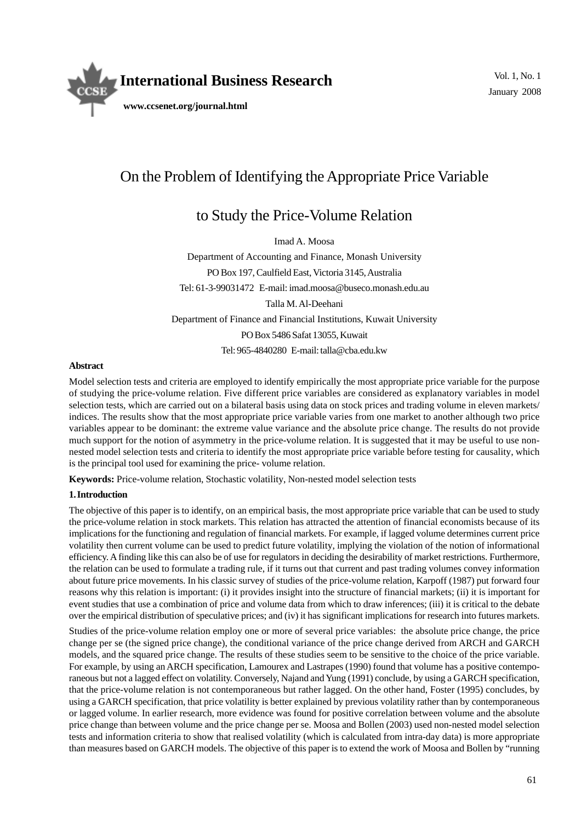

# On the Problem of Identifying the Appropriate Price Variable

## to Study the Price-Volume Relation

Imad A. Moosa Department of Accounting and Finance, Monash University PO Box 197, Caulfield East, Victoria 3145, Australia Tel: 61-3-99031472 E-mail: imad.moosa@buseco.monash.edu.au Talla M. Al-Deehani Department of Finance and Financial Institutions, Kuwait University PO Box 5486 Safat 13055, Kuwait Tel: 965-4840280 E-mail: talla@cba.edu.kw

## **Abstract**

Model selection tests and criteria are employed to identify empirically the most appropriate price variable for the purpose of studying the price-volume relation. Five different price variables are considered as explanatory variables in model selection tests, which are carried out on a bilateral basis using data on stock prices and trading volume in eleven markets/ indices. The results show that the most appropriate price variable varies from one market to another although two price variables appear to be dominant: the extreme value variance and the absolute price change. The results do not provide much support for the notion of asymmetry in the price-volume relation. It is suggested that it may be useful to use nonnested model selection tests and criteria to identify the most appropriate price variable before testing for causality, which is the principal tool used for examining the price- volume relation.

**Keywords:** Price-volume relation, Stochastic volatility, Non-nested model selection tests

## **1. Introduction**

The objective of this paper is to identify, on an empirical basis, the most appropriate price variable that can be used to study the price-volume relation in stock markets. This relation has attracted the attention of financial economists because of its implications for the functioning and regulation of financial markets. For example, if lagged volume determines current price volatility then current volume can be used to predict future volatility, implying the violation of the notion of informational efficiency. A finding like this can also be of use for regulators in deciding the desirability of market restrictions. Furthermore, the relation can be used to formulate a trading rule, if it turns out that current and past trading volumes convey information about future price movements. In his classic survey of studies of the price-volume relation, Karpoff (1987) put forward four reasons why this relation is important: (i) it provides insight into the structure of financial markets; (ii) it is important for event studies that use a combination of price and volume data from which to draw inferences; (iii) it is critical to the debate over the empirical distribution of speculative prices; and (iv) it has significant implications for research into futures markets.

Studies of the price-volume relation employ one or more of several price variables: the absolute price change, the price change per se (the signed price change), the conditional variance of the price change derived from ARCH and GARCH models, and the squared price change. The results of these studies seem to be sensitive to the choice of the price variable. For example, by using an ARCH specification, Lamourex and Lastrapes (1990) found that volume has a positive contemporaneous but not a lagged effect on volatility. Conversely, Najand and Yung (1991) conclude, by using a GARCH specification, that the price-volume relation is not contemporaneous but rather lagged. On the other hand, Foster (1995) concludes, by using a GARCH specification, that price volatility is better explained by previous volatility rather than by contemporaneous or lagged volume. In earlier research, more evidence was found for positive correlation between volume and the absolute price change than between volume and the price change per se. Moosa and Bollen (2003) used non-nested model selection tests and information criteria to show that realised volatility (which is calculated from intra-day data) is more appropriate than measures based on GARCH models. The objective of this paper is to extend the work of Moosa and Bollen by "running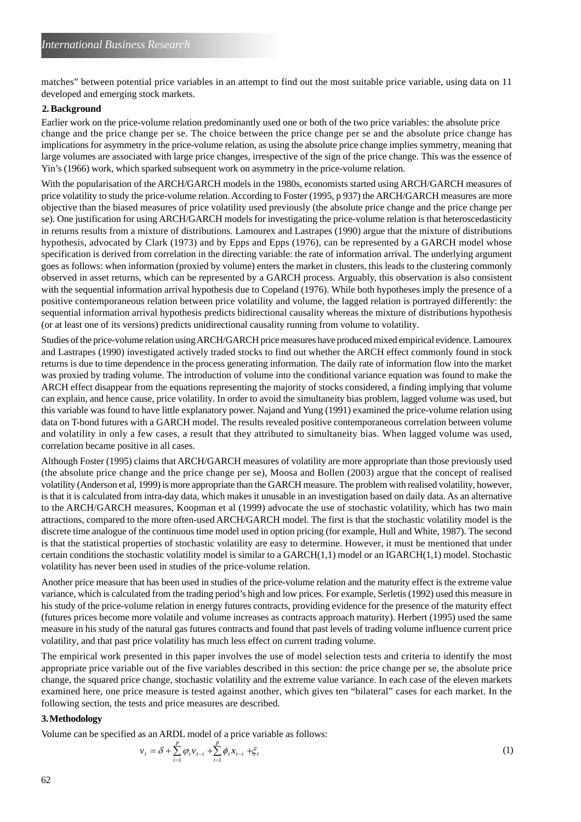matches" between potential price variables in an attempt to find out the most suitable price variable, using data on 11 developed and emerging stock markets.

## **2. Background**

change and the price change per se. The choice between the price change per se and the absolute price change has implications for asymmetry in the price-volume relation, as using the absolute price change implies symmetry, meaning that large volumes are associated with large price changes, irrespective of the sign of the price change. This was the essence of Yin's (1966) work, which sparked subsequent work on asymmetry in the price-volume relation. Earlier work on the price-volume relation predominantly used one or both of the two price variables: the absolute price

With the popularisation of the ARCH/GARCH models in the 1980s, economists started using ARCH/GARCH measures of price volatility to study the price-volume relation. According to Foster (1995, p 937) the ARCH/GARCH measures are more objective than the biased measures of price volatility used previously (the absolute price change and the price change per se). One justification for using ARCH/GARCH models for investigating the price-volume relation is that heteroscedasticity in returns results from a mixture of distributions. Lamourex and Lastrapes (1990) argue that the mixture of distributions hypothesis, advocated by Clark (1973) and by Epps and Epps (1976), can be represented by a GARCH model whose specification is derived from correlation in the directing variable: the rate of information arrival. The underlying argument goes as follows: when information (proxied by volume) enters the market in clusters, this leads to the clustering commonly observed in asset returns, which can be represented by a GARCH process. Arguably, this observation is also consistent with the sequential information arrival hypothesis due to Copeland (1976). While both hypotheses imply the presence of a positive contemporaneous relation between price volatility and volume, the lagged relation is portrayed differently: the sequential information arrival hypothesis predicts bidirectional causality whereas the mixture of distributions hypothesis (or at least one of its versions) predicts unidirectional causality running from volume to volatility.

Studies of the price-volume relation using ARCH/GARCH price measures have produced mixed empirical evidence. Lamourex and Lastrapes (1990) investigated actively traded stocks to find out whether the ARCH effect commonly found in stock returns is due to time dependence in the process generating information. The daily rate of information flow into the market was proxied by trading volume. The introduction of volume into the conditional variance equation was found to make the ARCH effect disappear from the equations representing the majority of stocks considered, a finding implying that volume can explain, and hence cause, price volatility. In order to avoid the simultaneity bias problem, lagged volume was used, but this variable was found to have little explanatory power. Najand and Yung (1991) examined the price-volume relation using data on T-bond futures with a GARCH model. The results revealed positive contemporaneous correlation between volume and volatility in only a few cases, a result that they attributed to simultaneity bias. When lagged volume was used, correlation became positive in all cases.

Although Foster (1995) claims that ARCH/GARCH measures of volatility are more appropriate than those previously used (the absolute price change and the price change per se), Moosa and Bollen (2003) argue that the concept of realised volatility (Anderson et al, 1999) is more appropriate than the GARCH measure. The problem with realised volatility, however, is that it is calculated from intra-day data, which makes it unusable in an investigation based on daily data. As an alternative to the ARCH/GARCH measures, Koopman et al (1999) advocate the use of stochastic volatility, which has two main attractions, compared to the more often-used ARCH/GARCH model. The first is that the stochastic volatility model is the discrete time analogue of the continuous time model used in option pricing (for example, Hull and White, 1987). The second is that the statistical properties of stochastic volatility are easy to determine. However, it must be mentioned that under certain conditions the stochastic volatility model is similar to a GARCH $(1,1)$  model or an IGARCH $(1,1)$  model. Stochastic volatility has never been used in studies of the price-volume relation.

Another price measure that has been used in studies of the price-volume relation and the maturity effect is the extreme value variance, which is calculated from the trading period's high and low prices. For example, Serletis (1992) used this measure in his study of the price-volume relation in energy futures contracts, providing evidence for the presence of the maturity effect (futures prices become more volatile and volume increases as contracts approach maturity). Herbert (1995) used the same measure in his study of the natural gas futures contracts and found that past levels of trading volume influence current price volatility, and that past price volatility has much less effect on current trading volume.

The empirical work presented in this paper involves the use of model selection tests and criteria to identify the most appropriate price variable out of the five variables described in this section: the price change per se, the absolute price change, the squared price change, stochastic volatility and the extreme value variance. In each case of the eleven markets examined here, one price measure is tested against another, which gives ten "bilateral" cases for each market. In the following section, the tests and price measures are described.

#### **3. Methodology**

Volume can be specified as an ARDL model of a price variable as follows:

$$
v_{t} = \delta + \sum_{i=1}^{p} \varphi_{i} v_{t-i} + \sum_{i=1}^{p} \phi_{i} x_{t-i} + \xi_{t}
$$
 (1)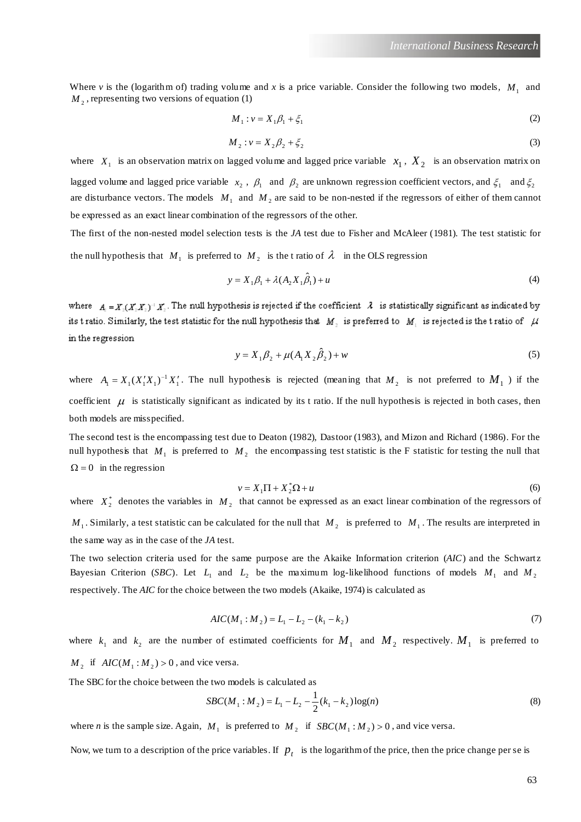Where *v* is the (logarithm of) trading volume and *x* is a price variable. Consider the following two models,  $M_1$  and  $M<sub>2</sub>$ , representing two versions of equation (1)

$$
M_1: \nu = X_1 \beta_1 + \xi_1 \tag{2}
$$

$$
M_2: \nu = X_2 \beta_2 + \xi_2 \tag{3}
$$

where  $X_1$  is an observation matrix on lagged volume and lagged price variable  $X_1$ ,  $X_2$  is an observation matrix on lagged volume and lagged price variable  $x_2$ ,  $\beta_1$  and  $\beta_2$  are unknown regression coefficient vectors, and  $\xi_1$  and  $\xi_2$ are disturbance vectors. The models  $M_1$  and  $M_2$  are said to be non-nested if the regressors of either of them cannot be expressed as an exact linear combination of the regressors of the other.

The first of the non-nested model selection tests is the *JA* test due to Fisher and McAleer (1981). The test statistic for the null hypothesis that  $M_1$  is preferred to  $M_2$  is the tratio of  $\lambda$  in the OLS regression

$$
y = X_1 \beta_1 + \lambda (A_2 X_1 \hat{\beta}_1) + u \tag{4}
$$

where  $A = X(X, X) \rvert X$ . The null hypothesis is rejected if the coefficient  $\lambda$  is statistically significant as indicated by its tratio. Similarly, the test statistic for the null hypothesis that M, is preferred to  $M_1$  is rejected is the tratio of  $\mu$ in the regression

$$
y = X_1 \beta_2 + \mu (A_1 X_2 \hat{\beta}_2) + w \tag{5}
$$

where  $A_1 = X_1 (X_1' X_1)^{-1} X_1'$ . The null hypothesis is rejected (meaning that  $M_2$  is not preferred to  $M_1$ ) if the coefficient  $\mu$  is statistically significant as indicated by its t ratio. If the null hypothesis is rejected in both cases, then both models are misspecified.

The second test is the encompassing test due to Deaton (1982), Dastoor (1983), and Mizon and Richard (1986). For the null hypothesis that  $M_1$  is preferred to  $M_2$  the encompassing test statistic is the F statistic for testing the null that  $\Omega = 0$  in the regression

$$
v = X_1 \Pi + X_2^* \Omega + u \tag{6}
$$

where  $X_2^*$  denotes the variables in  $M_2$  that cannot be expressed as an exact linear combination of the regressors of  $M_1$ . Similarly, a test statistic can be calculated for the null that  $M_2$  is preferred to  $M_1$ . The results are interpreted in the same way as in the case of the *JA* test.

The two selection criteria used for the same purpose are the Akaike Information criterion (*AIC*) and the Schwartz Bayesian Criterion (*SBC*). Let  $L_1$  and  $L_2$  be the maximum log-likelihood functions of models  $M_1$  and  $M_2$ respectively. The *AIC* for the choice between the two models (Akaike, 1974) is calculated as

$$
AIC(M_1: M_2) = L_1 - L_2 - (k_1 - k_2)
$$
\n<sup>(7)</sup>

where  $k_1$  and  $k_2$  are the number of estimated coefficients for  $M_1$  and  $M_2$  respectively.  $M_1$  is preferred to  $M_2$  if  $AIC(M_1 : M_2) > 0$ , and vice versa.

The SBC for the choice between the two models is calculated as

$$
SBC(M_1: M_2) = L_1 - L_2 - \frac{1}{2}(k_1 - k_2) \log(n)
$$
\n(8)

where *n* is the sample size. Again,  $M_1$  is preferred to  $M_2$  if  $SBC(M_1: M_2) > 0$ , and vice versa.

Now, we turn to a description of the price variables. If  $p_t$  is the logarithm of the price, then the price change per se is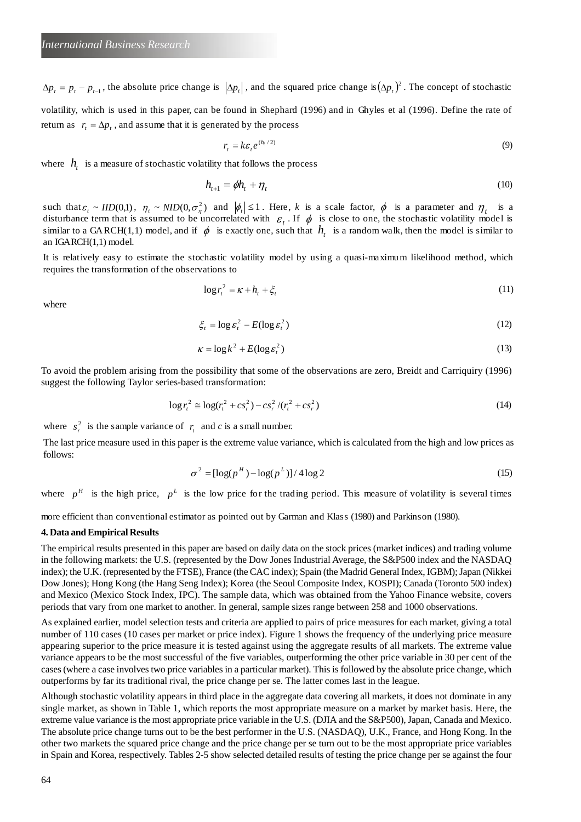$\Delta p_t = p_t - p_{t-1}$ , the absolute price change is  $|\Delta p_t|$ , and the squared price change is $(\Delta p_t)^2$ . The concept of stochastic volatility, which is used in this paper, can be found in Shephard (1996) and in Ghyles et al (1996). Define the rate of return as  $r_t = \Delta p_t$ , and assume that it is generated by the process

$$
r_t = k\varepsilon_t e^{(h_t/2)} \tag{9}
$$

where  $h_{t}$  is a measure of stochastic volatility that follows the process

$$
h_{t+1} = \phi h_t + \eta_t \tag{10}
$$

such that  $\varepsilon_t \sim IID(0,1)$ ,  $\eta_t \sim NID(0,\sigma_\eta^2)$  and  $|\phi_t| \leq 1$ . Here, *k* is a scale factor,  $\phi$  is a parameter and  $\eta_t$  is a disturbance term that is assumed to be uncorrelated with  $\varepsilon_t$ . If  $\phi$  is close to one, the stochastic volatility model is similar to a GARCH(1,1) model, and if  $\phi$  is exactly one, such that  $h_t$  is a random walk, then the model is similar to an IGARCH(1,1) model.

It is relatively easy to estimate the stochastic volatility model by using a quasi-maximum likelihood method, which requires the transformation of the observations to

$$
\log r_t^2 = \kappa + h_t + \xi_t \tag{11}
$$

where

$$
\xi_t = \log \varepsilon_t^2 - E(\log \varepsilon_t^2) \tag{12}
$$

$$
\kappa = \log k^2 + E(\log \varepsilon_t^2) \tag{13}
$$

To avoid the problem arising from the possibility that some of the observations are zero, Breidt and Carriquiry (1996) suggest the following Taylor series-based transformation:

$$
\log r_i^2 \approx \log(r_i^2 + cs_r^2) - cs_r^2 / (r_i^2 + cs_r^2)
$$
\n(14)

where  $s_r^2$  is the sample variance of  $r_r$  and *c* is a small number.

The last price measure used in this paper is the extreme value variance, which is calculated from the high and low prices as follows:

$$
\sigma^2 = [\log(p^H) - \log(p^L)] / 4 \log 2 \tag{15}
$$

where  $p^H$  is the high price,  $p^L$  is the low price for the trading period. This measure of volatility is several times

more efficient than conventional estimator as pointed out by Garman and Klass (1980) and Parkinson (1980).

### **4. Data and Empirical Results**

The empirical results presented in this paper are based on daily data on the stock prices (market indices) and trading volume in the following markets: the U.S. (represented by the Dow Jones Industrial Average, the S&P500 index and the NASDAQ index); the U.K. (represented by the FTSE), France (the CAC index); Spain (the Madrid General Index, IGBM); Japan (Nikkei Dow Jones); Hong Kong (the Hang Seng Index); Korea (the Seoul Composite Index, KOSPI); Canada (Toronto 500 index) and Mexico (Mexico Stock Index, IPC). The sample data, which was obtained from the Yahoo Finance website, covers periods that vary from one market to another. In general, sample sizes range between 258 and 1000 observations.

As explained earlier, model selection tests and criteria are applied to pairs of price measures for each market, giving a total number of 110 cases (10 cases per market or price index). Figure 1 shows the frequency of the underlying price measure appearing superior to the price measure it is tested against using the aggregate results of all markets. The extreme value variance appears to be the most successful of the five variables, outperforming the other price variable in 30 per cent of the cases (where a case involves two price variables in a particular market). This is followed by the absolute price change, which outperforms by far its traditional rival, the price change per se. The latter comes last in the league.

Although stochastic volatility appears in third place in the aggregate data covering all markets, it does not dominate in any single market, as shown in Table 1, which reports the most appropriate measure on a market by market basis. Here, the extreme value variance is the most appropriate price variable in the U.S. (DJIA and the S&P500), Japan, Canada and Mexico. The absolute price change turns out to be the best performer in the U.S. (NASDAQ), U.K., France, and Hong Kong. In the other two markets the squared price change and the price change per se turn out to be the most appropriate price variables in Spain and Korea, respectively. Tables 2-5 show selected detailed results of testing the price change per se against the four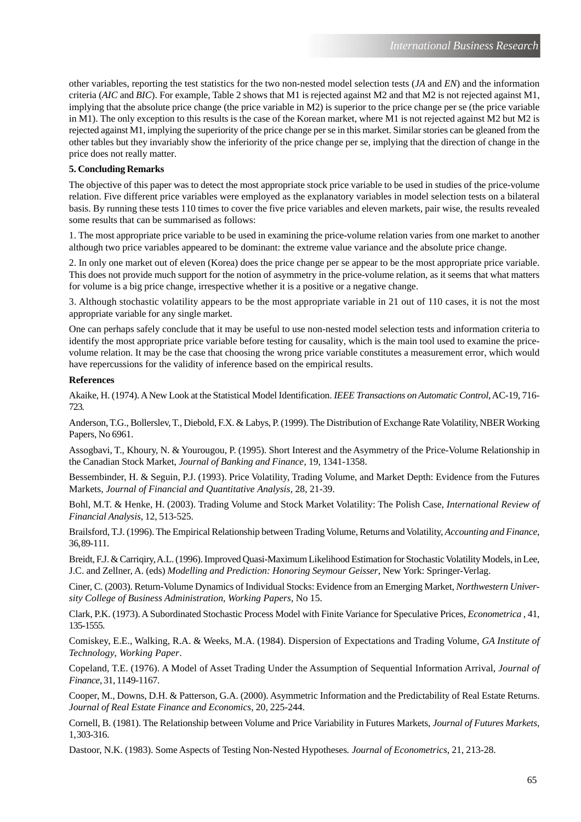other variables, reporting the test statistics for the two non-nested model selection tests (*JA* and *EN*) and the information criteria (*AIC* and *BIC*). For example, Table 2 shows that M1 is rejected against M2 and that M2 is not rejected against M1, implying that the absolute price change (the price variable in M2) is superior to the price change per se (the price variable in M1). The only exception to this results is the case of the Korean market, where M1 is not rejected against M2 but M2 is rejected against M1, implying the superiority of the price change per se in this market. Similar stories can be gleaned from the other tables but they invariably show the inferiority of the price change per se, implying that the direction of change in the price does not really matter.

## **5. Concluding Remarks**

The objective of this paper was to detect the most appropriate stock price variable to be used in studies of the price-volume relation. Five different price variables were employed as the explanatory variables in model selection tests on a bilateral basis. By running these tests 110 times to cover the five price variables and eleven markets, pair wise, the results revealed some results that can be summarised as follows:

1. The most appropriate price variable to be used in examining the price-volume relation varies from one market to another although two price variables appeared to be dominant: the extreme value variance and the absolute price change.

2. In only one market out of eleven (Korea) does the price change per se appear to be the most appropriate price variable. This does not provide much support for the notion of asymmetry in the price-volume relation, as it seems that what matters for volume is a big price change, irrespective whether it is a positive or a negative change.

3. Although stochastic volatility appears to be the most appropriate variable in 21 out of 110 cases, it is not the most appropriate variable for any single market.

One can perhaps safely conclude that it may be useful to use non-nested model selection tests and information criteria to identify the most appropriate price variable before testing for causality, which is the main tool used to examine the pricevolume relation. It may be the case that choosing the wrong price variable constitutes a measurement error, which would have repercussions for the validity of inference based on the empirical results.

### **References**

Akaike, H. (1974). A New Look at the Statistical Model Identification. *IEEE Transactions on Automatic Control*, AC-19, 716- 723.

Anderson, T.G., Bollerslev, T., Diebold, F.X. & Labys, P. (1999). The Distribution of Exchange Rate Volatility, NBER Working Papers, No 6961.

Assogbavi, T., Khoury, N. & Yourougou, P. (1995). Short Interest and the Asymmetry of the Price-Volume Relationship in the Canadian Stock Market, *Journal of Banking and Finance*, 19, 1341-1358.

Bessembinder, H. & Seguin, P.J. (1993). Price Volatility, Trading Volume, and Market Depth: Evidence from the Futures Markets, *Journal of Financial and Quantitative Analysis*, 28, 21-39.

Bohl, M.T. & Henke, H. (2003). Trading Volume and Stock Market Volatility: The Polish Case, *International Review of Financial Analysis*, 12, 513-525.

Brailsford, T.J. (1996). The Empirical Relationship between Trading Volume, Returns and Volatility, *Accounting and Finance*, 36, 89-111.

Breidt, F.J. & Carriqiry, A.L. (1996). Improved Quasi-Maximum Likelihood Estimation for Stochastic Volatility Models, in Lee, J.C. and Zellner, A. (eds) *Modelling and Prediction: Honoring Seymour Geisser*, New York: Springer-Verlag.

Ciner, C. (2003). Return-Volume Dynamics of Individual Stocks: Evidence from an Emerging Market, *Northwestern University College of Business Administration, Working Papers,* No 15.

Clark, P.K. (1973). A Subordinated Stochastic Process Model with Finite Variance for Speculative Prices, *Econometrica* , 41, 135-1555.

Comiskey, E.E., Walking, R.A. & Weeks, M.A. (1984). Dispersion of Expectations and Trading Volume, *GA Institute of Technology*, *Working Paper*.

Copeland, T.E. (1976). A Model of Asset Trading Under the Assumption of Sequential Information Arrival, *Journal of Finance*, 31, 1149-1167.

Cooper, M., Downs, D.H. & Patterson, G.A. (2000). Asymmetric Information and the Predictability of Real Estate Returns. *Journal of Real Estate Finance and Economics*, 20, 225-244.

Cornell, B. (1981). The Relationship between Volume and Price Variability in Futures Markets, *Journal of Futures Markets*, 1, 303-316.

Dastoor, N.K. (1983). Some Aspects of Testing Non-Nested Hypotheses*. Journal of Econometrics*, 21, 213-28.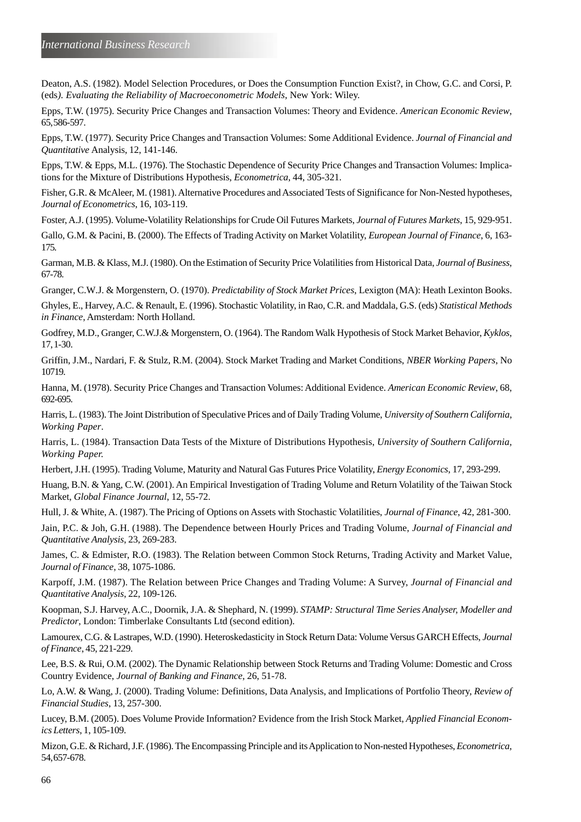Deaton, A.S. (1982). Model Selection Procedures, or Does the Consumption Function Exist?, in Chow, G.C. and Corsi, P. (eds*). Evaluating the Reliability of Macroeconometric Models*, New York: Wiley.

Epps, T.W. (1975). Security Price Changes and Transaction Volumes: Theory and Evidence. *American Economic Review*, 65, 586-597.

Epps, T.W. (1977). Security Price Changes and Transaction Volumes: Some Additional Evidence. *Journal of Financial and Quantitative* Analysis, 12, 141-146.

Epps, T.W. & Epps, M.L. (1976). The Stochastic Dependence of Security Price Changes and Transaction Volumes: Implications for the Mixture of Distributions Hypothesis, *Econometrica*, 44, 305-321.

Fisher, G.R. & McAleer, M. (1981). Alternative Procedures and Associated Tests of Significance for Non-Nested hypotheses, *Journal of Econometrics*, 16, 103-119.

Foster, A.J. (1995). Volume-Volatility Relationships for Crude Oil Futures Markets, *Journal of Futures Markets*, 15, 929-951.

Gallo, G.M. & Pacini, B. (2000). The Effects of Trading Activity on Market Volatility, *European Journal of Finance*, 6, 163- 175.

Garman, M.B. & Klass, M.J. (1980). On the Estimation of Security Price Volatilities from Historical Data, *Journal of Business*, 67-78.

Granger, C.W.J. & Morgenstern, O. (1970). *Predictability of Stock Market Prices*, Lexigton (MA): Heath Lexinton Books.

Ghyles, E., Harvey, A.C. & Renault, E. (1996). Stochastic Volatility, in Rao, C.R. and Maddala, G.S. (eds) *Statistical Methods in Finance*, Amsterdam: North Holland.

Godfrey, M.D., Granger, C.W.J.& Morgenstern, O. (1964). The Random Walk Hypothesis of Stock Market Behavior, *Kyklos*, 17, 1-30.

Griffin, J.M., Nardari, F. & Stulz, R.M. (2004). Stock Market Trading and Market Conditions, *NBER Working Papers*, No 10719.

Hanna, M. (1978). Security Price Changes and Transaction Volumes: Additional Evidence. *American Economic Review*, 68, 692-695.

Harris, L. (1983). The Joint Distribution of Speculative Prices and of Daily Trading Volume, *University of Southern California, Working Paper*.

Harris, L. (1984). Transaction Data Tests of the Mixture of Distributions Hypothesis, *University of Southern California, Working Paper.*

Herbert, J.H. (1995). Trading Volume, Maturity and Natural Gas Futures Price Volatility, *Energy Economics*, 17, 293-299.

Huang, B.N. & Yang, C.W. (2001). An Empirical Investigation of Trading Volume and Return Volatility of the Taiwan Stock Market, *Global Finance Journal*, 12, 55-72.

Hull, J. & White, A. (1987). The Pricing of Options on Assets with Stochastic Volatilities, *Journal of Finance*, 42, 281-300.

Jain, P.C. & Joh, G.H. (1988). The Dependence between Hourly Prices and Trading Volume, *Journal of Financial and Quantitative Analysis*, 23, 269-283.

James, C. & Edmister, R.O. (1983). The Relation between Common Stock Returns, Trading Activity and Market Value, *Journal of Finance*, 38, 1075-1086.

Karpoff, J.M. (1987). The Relation between Price Changes and Trading Volume: A Survey, *Journal of Financial and Quantitative Analysis*, 22, 109-126.

Koopman, S.J. Harvey, A.C., Doornik, J.A. & Shephard, N. (1999). *STAMP: Structural Time Series Analyser, Modeller and Predictor*, London: Timberlake Consultants Ltd (second edition).

Lamourex, C.G. & Lastrapes, W.D. (1990). Heteroskedasticity in Stock Return Data: Volume Versus GARCH Effects, *Journal of Finance*, 45, 221-229.

Lee, B.S. & Rui, O.M. (2002). The Dynamic Relationship between Stock Returns and Trading Volume: Domestic and Cross Country Evidence, *Journal of Banking and Finance*, 26, 51-78.

Lo, A.W. & Wang, J. (2000). Trading Volume: Definitions, Data Analysis, and Implications of Portfolio Theory, *Review of Financial Studies*, 13, 257-300.

Lucey, B.M. (2005). Does Volume Provide Information? Evidence from the Irish Stock Market, *Applied Financial Economics Letters*, 1, 105-109.

Mizon, G.E. & Richard, J.F. (1986). The Encompassing Principle and its Application to Non-nested Hypotheses, *Econometrica*, 54, 657-678.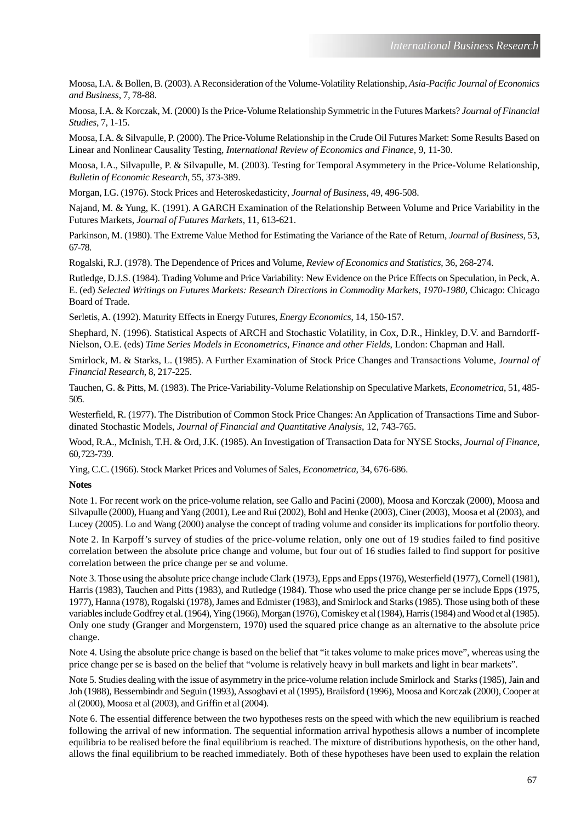Moosa, I.A. & Bollen, B. (2003). A Reconsideration of the Volume-Volatility Relationship, *Asia-Pacific Journal of Economics and Business*, 7, 78-88.

Moosa, I.A. & Korczak, M. (2000) Is the Price-Volume Relationship Symmetric in the Futures Markets? *Journal of Financial Studies*, 7, 1-15.

Moosa, I.A. & Silvapulle, P. (2000). The Price-Volume Relationship in the Crude Oil Futures Market: Some Results Based on Linear and Nonlinear Causality Testing, *International Review of Economics and Finance*, 9, 11-30.

Moosa, I.A., Silvapulle, P. & Silvapulle, M. (2003). Testing for Temporal Asymmetery in the Price-Volume Relationship, *Bulletin of Economic Research*, 55, 373-389.

Morgan, I.G. (1976). Stock Prices and Heteroskedasticity, *Journal of Business*, 49, 496-508.

Najand, M. & Yung, K. (1991). A GARCH Examination of the Relationship Between Volume and Price Variability in the Futures Markets, *Journal of Futures Markets*, 11, 613-621.

Parkinson, M. (1980). The Extreme Value Method for Estimating the Variance of the Rate of Return, *Journal of Business*, 53, 67-78.

Rogalski, R.J. (1978). The Dependence of Prices and Volume, *Review of Economics and Statistics*, 36, 268-274.

Rutledge, D.J.S. (1984). Trading Volume and Price Variability: New Evidence on the Price Effects on Speculation, in Peck, A. E. (ed) *Selected Writings on Futures Markets: Research Directions in Commodity Markets, 1970-1980*, Chicago: Chicago Board of Trade.

Serletis, A. (1992). Maturity Effects in Energy Futures, *Energy Economics*, 14, 150-157.

Shephard, N. (1996). Statistical Aspects of ARCH and Stochastic Volatility, in Cox, D.R., Hinkley, D.V. and Barndorff-Nielson, O.E. (eds) *Time Series Models in Econometrics, Finance and other Fields*, London: Chapman and Hall.

Smirlock, M. & Starks, L. (1985). A Further Examination of Stock Price Changes and Transactions Volume, *Journal of Financial Research*, 8, 217-225.

Tauchen, G. & Pitts, M. (1983). The Price-Variability-Volume Relationship on Speculative Markets, *Econometrica*, 51, 485- 505.

Westerfield, R. (1977). The Distribution of Common Stock Price Changes: An Application of Transactions Time and Subordinated Stochastic Models, *Journal of Financial and Quantitative Analysis*, 12, 743-765.

Wood, R.A., McInish, T.H. & Ord, J.K. (1985). An Investigation of Transaction Data for NYSE Stocks, *Journal of Finance*, 60, 723-739.

Ying, C.C. (1966). Stock Market Prices and Volumes of Sales, *Econometrica*, 34, 676-686.

#### **Notes**

Note 1. For recent work on the price-volume relation, see Gallo and Pacini (2000), Moosa and Korczak (2000), Moosa and Silvapulle (2000), Huang and Yang (2001), Lee and Rui (2002), Bohl and Henke (2003), Ciner (2003), Moosa et al (2003), and Lucey (2005). Lo and Wang (2000) analyse the concept of trading volume and consider its implications for portfolio theory.

Note 2. In Karpoff's survey of studies of the price-volume relation, only one out of 19 studies failed to find positive correlation between the absolute price change and volume, but four out of 16 studies failed to find support for positive correlation between the price change per se and volume.

Note 3. Those using the absolute price change include Clark (1973), Epps and Epps (1976), Westerfield (1977), Cornell (1981), Harris (1983), Tauchen and Pitts (1983), and Rutledge (1984). Those who used the price change per se include Epps (1975, 1977), Hanna (1978), Rogalski (1978), James and Edmister (1983), and Smirlock and Starks (1985). Those using both of these variables include Godfrey et al. (1964), Ying (1966), Morgan (1976), Comiskey et al (1984), Harris (1984) and Wood et al (1985). Only one study (Granger and Morgenstern, 1970) used the squared price change as an alternative to the absolute price change.

Note 4. Using the absolute price change is based on the belief that "it takes volume to make prices move", whereas using the price change per se is based on the belief that "volume is relatively heavy in bull markets and light in bear markets".

Note 5. Studies dealing with the issue of asymmetry in the price-volume relation include Smirlock and Starks (1985), Jain and Joh (1988), Bessembindr and Seguin (1993), Assogbavi et al (1995), Brailsford (1996), Moosa and Korczak (2000), Cooper at al (2000), Moosa et al (2003), and Griffin et al (2004).

Note 6. The essential difference between the two hypotheses rests on the speed with which the new equilibrium is reached following the arrival of new information. The sequential information arrival hypothesis allows a number of incomplete equilibria to be realised before the final equilibrium is reached. The mixture of distributions hypothesis, on the other hand, allows the final equilibrium to be reached immediately. Both of these hypotheses have been used to explain the relation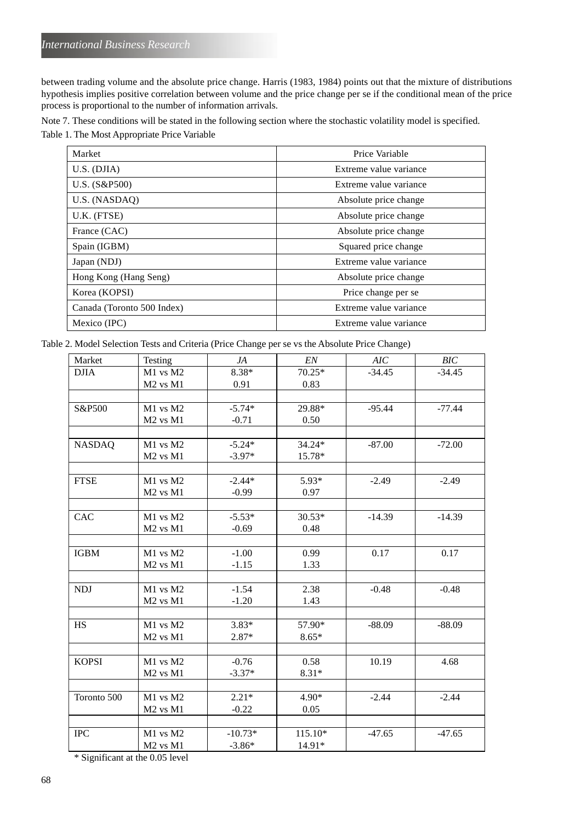between trading volume and the absolute price change. Harris (1983, 1984) points out that the mixture of distributions hypothesis implies positive correlation between volume and the price change per se if the conditional mean of the price process is proportional to the number of information arrivals.

Note 7. These conditions will be stated in the following section where the stochastic volatility model is specified. Table 1. The Most Appropriate Price Variable

| Market                     | Price Variable         |  |  |
|----------------------------|------------------------|--|--|
| U.S. (D JIA)               | Extreme value variance |  |  |
| U.S. (S&P500)              | Extreme value variance |  |  |
| U.S. (NASDAO)              | Absolute price change  |  |  |
| U.K. (FTSE)                | Absolute price change  |  |  |
| France (CAC)               | Absolute price change  |  |  |
| Spain (IGBM)               | Squared price change   |  |  |
| Japan (NDJ)                | Extreme value variance |  |  |
| Hong Kong (Hang Seng)      | Absolute price change  |  |  |
| Korea (KOPSI)              | Price change per se    |  |  |
| Canada (Toronto 500 Index) | Extreme value variance |  |  |
| Mexico (IPC)               | Extreme value variance |  |  |

Table 2. Model Selection Tests and Criteria (Price Change per se vs the Absolute Price Change)

| Market        |                                  |           | EN       | $AIC$    | BIC      |
|---------------|----------------------------------|-----------|----------|----------|----------|
|               | Testing                          | JA        |          |          |          |
| <b>DJIA</b>   | M1 vs M2                         | 8.38*     | $70.25*$ | $-34.45$ | $-34.45$ |
|               | M <sub>2</sub> vs M <sub>1</sub> | 0.91      | 0.83     |          |          |
|               |                                  |           |          |          |          |
| S&P500        | M1 vs M2                         | $-5.74*$  | 29.88*   | $-95.44$ | $-77.44$ |
|               | M <sub>2</sub> vs M <sub>1</sub> | $-0.71$   | 0.50     |          |          |
|               |                                  |           |          |          |          |
| <b>NASDAQ</b> | M1 vs M2                         | $-5.24*$  | 34.24*   | $-87.00$ | $-72.00$ |
|               | M <sub>2</sub> vs M <sub>1</sub> | $-3.97*$  | 15.78*   |          |          |
|               |                                  |           |          |          |          |
| <b>FTSE</b>   | M1 vs M2                         | $-2.44*$  | 5.93*    | $-2.49$  | $-2.49$  |
|               | M <sub>2</sub> vs M <sub>1</sub> | $-0.99$   | 0.97     |          |          |
|               |                                  |           |          |          |          |
| CAC           | M1 vs M2                         | $-5.53*$  | $30.53*$ | $-14.39$ | $-14.39$ |
|               | M <sub>2</sub> vs M <sub>1</sub> | $-0.69$   | 0.48     |          |          |
|               |                                  |           |          |          |          |
| <b>IGBM</b>   | M1 vs M2                         | $-1.00$   | 0.99     | 0.17     | 0.17     |
|               | M <sub>2</sub> vs M <sub>1</sub> | $-1.15$   | 1.33     |          |          |
|               |                                  |           |          |          |          |
| <b>NDJ</b>    | $M1$ vs $M2$                     | $-1.54$   | 2.38     | $-0.48$  | $-0.48$  |
|               | M <sub>2</sub> vs M <sub>1</sub> | $-1.20$   | 1.43     |          |          |
|               |                                  |           |          |          |          |
| <b>HS</b>     | M1 vs M2                         | $3.83*$   | 57.90*   | $-88.09$ | $-88.09$ |
|               | M <sub>2</sub> vs M <sub>1</sub> | 2.87*     | $8.65*$  |          |          |
|               |                                  |           |          |          |          |
| <b>KOPSI</b>  | M1 vs M2                         | $-0.76$   | 0.58     | 10.19    | 4.68     |
|               | M <sub>2</sub> vs M <sub>1</sub> | $-3.37*$  | $8.31*$  |          |          |
|               |                                  |           |          |          |          |
| Toronto 500   | M1 vs M2                         | $2.21*$   | 4.90*    | $-2.44$  | $-2.44$  |
|               | $\rm M2$ vs $\rm M1$             | $-0.22$   | 0.05     |          |          |
|               |                                  |           |          |          |          |
| <b>IPC</b>    | $M1$ vs $M2$                     | $-10.73*$ | 115.10*  | $-47.65$ | $-47.65$ |
|               | M <sub>2</sub> vs M <sub>1</sub> | $-3.86*$  | 14.91*   |          |          |

\* Significant at the 0.05 level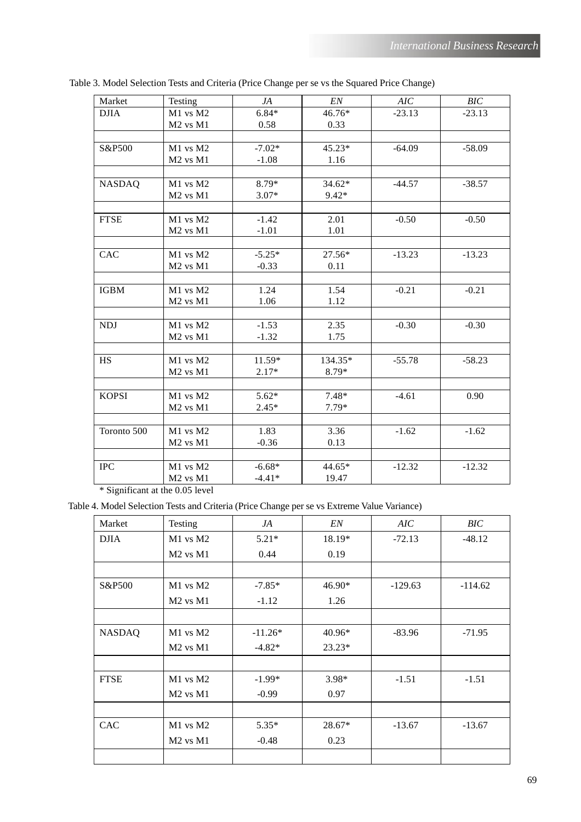| Market        | Testing                          | JA       | EN       | AIC      | BIC      |
|---------------|----------------------------------|----------|----------|----------|----------|
| <b>DJIA</b>   | M1 vs M2                         | $6.84*$  | 46.76*   | $-23.13$ | $-23.13$ |
|               | M <sub>2</sub> vs M <sub>1</sub> | 0.58     | 0.33     |          |          |
|               |                                  |          |          |          |          |
| S&P500        | M1 vs M2                         | $-7.02*$ | 45.23*   | $-64.09$ | $-58.09$ |
|               | $M2$ vs $M1$                     | $-1.08$  | 1.16     |          |          |
|               |                                  |          |          |          |          |
| <b>NASDAQ</b> | M1 vs M2                         | 8.79*    | $34.62*$ | $-44.57$ | $-38.57$ |
|               | $M2$ vs $M1$                     | $3.07*$  | $9.42*$  |          |          |
|               |                                  |          |          |          |          |
| <b>FTSE</b>   | M1 vs M2                         | $-1.42$  | 2.01     | $-0.50$  | $-0.50$  |
|               | M <sub>2</sub> vs M <sub>1</sub> | $-1.01$  | 1.01     |          |          |
|               |                                  |          |          |          |          |
| CAC           | M1 vs M2                         | $-5.25*$ | 27.56*   | $-13.23$ | $-13.23$ |
|               | $M2$ vs $M1$                     | $-0.33$  | 0.11     |          |          |
|               |                                  |          |          |          |          |
| <b>IGBM</b>   | M1 vs M2                         | 1.24     | 1.54     | $-0.21$  | $-0.21$  |
|               | $M2$ vs $M1$                     | 1.06     | 1.12     |          |          |
|               |                                  |          |          |          |          |
| <b>NDJ</b>    | M1 vs M2                         | $-1.53$  | 2.35     | $-0.30$  | $-0.30$  |
|               | $M2$ vs $M1$                     | $-1.32$  | 1.75     |          |          |
|               |                                  |          |          |          |          |
| HS            | M1 vs M2                         | 11.59*   | 134.35*  | $-55.78$ | $-58.23$ |
|               | M <sub>2</sub> vs M <sub>1</sub> | $2.17*$  | 8.79*    |          |          |
|               |                                  |          |          |          |          |
| <b>KOPSI</b>  | M1 vs M2                         | $5.62*$  | $7.48*$  | $-4.61$  | 0.90     |
|               | $M2$ vs $M1$                     | $2.45*$  | 7.79*    |          |          |
|               |                                  |          |          |          |          |
| Toronto 500   | M1 vs M2                         | 1.83     | 3.36     | $-1.62$  | $-1.62$  |
|               | $M2$ vs $M1$                     | $-0.36$  | 0.13     |          |          |
|               |                                  |          |          |          |          |
| <b>IPC</b>    | M1 vs M2                         | $-6.68*$ | 44.65*   | $-12.32$ | $-12.32$ |
|               | M <sub>2</sub> vs M <sub>1</sub> | $-4.41*$ | 19.47    |          |          |

Table 3. Model Selection Tests and Criteria (Price Change per se vs the Squared Price Change)

\* Significant at the 0.05 level

Table 4. Model Selection Tests and Criteria (Price Change per se vs Extreme Value Variance)

| Market        | Testing      | JA        | EN       | AIC       | BIC       |
|---------------|--------------|-----------|----------|-----------|-----------|
| <b>DJIA</b>   | M1 vs M2     | $5.21*$   | 18.19*   | $-72.13$  | $-48.12$  |
|               | $M2$ vs $M1$ | 0.44      | 0.19     |           |           |
|               |              |           |          |           |           |
| S&P500        | $M1$ vs $M2$ | $-7.85*$  | $46.90*$ | $-129.63$ | $-114.62$ |
|               | $M2$ vs $M1$ | $-1.12$   | 1.26     |           |           |
|               |              |           |          |           |           |
| <b>NASDAQ</b> | $M1$ vs $M2$ | $-11.26*$ | $40.96*$ | $-83.96$  | $-71.95$  |
|               | $M2$ vs $M1$ | $-4.82*$  | $23.23*$ |           |           |
|               |              |           |          |           |           |
| <b>FTSE</b>   | $M1$ vs $M2$ | $-1.99*$  | $3.98*$  | $-1.51$   | $-1.51$   |
|               | $M2$ vs $M1$ | $-0.99$   | 0.97     |           |           |
|               |              |           |          |           |           |
| <b>CAC</b>    | $M1$ vs $M2$ | $5.35*$   | 28.67*   | $-13.67$  | $-13.67$  |
|               | $M2$ vs $M1$ | $-0.48$   | 0.23     |           |           |
|               |              |           |          |           |           |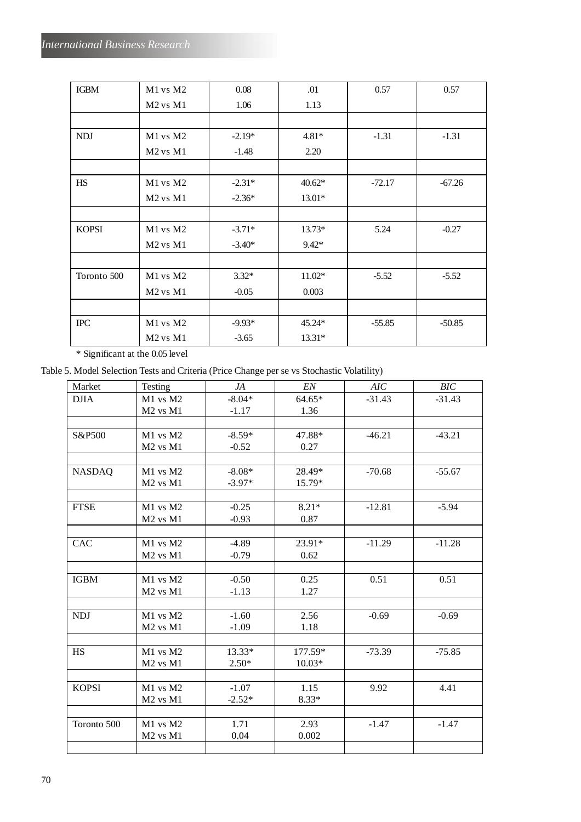| <b>IGBM</b>       | $M1$ vs $M2$                     | 0.08     | .01      | 0.57     | 0.57     |
|-------------------|----------------------------------|----------|----------|----------|----------|
|                   | $M2$ vs $M1$                     | 1.06     | 1.13     |          |          |
|                   |                                  |          |          |          |          |
| <b>NDJ</b>        | M1 vs M2                         | $-2.19*$ | $4.81*$  | $-1.31$  | $-1.31$  |
|                   | M <sub>2</sub> vs M <sub>1</sub> | $-1.48$  | 2.20     |          |          |
|                   |                                  |          |          |          |          |
| <b>HS</b>         | M1 vs M2                         | $-2.31*$ | $40.62*$ | $-72.17$ | $-67.26$ |
|                   | $M2$ vs $M1$                     | $-2.36*$ | $13.01*$ |          |          |
|                   |                                  |          |          |          |          |
| <b>KOPSI</b>      | M1 vs M2                         | $-3.71*$ | $13.73*$ | 5.24     | $-0.27$  |
|                   | $M2$ vs $M1$                     | $-3.40*$ | $9.42*$  |          |          |
|                   |                                  |          |          |          |          |
| Toronto 500       | M1 vs M2                         | $3.32*$  | $11.02*$ | $-5.52$  | $-5.52$  |
|                   | $M2$ vs $M1$                     | $-0.05$  | 0.003    |          |          |
|                   |                                  |          |          |          |          |
| $_{\mathrm{IPC}}$ | M1 vs M2                         | $-9.93*$ | 45.24*   | $-55.85$ | $-50.85$ |
|                   | $M2$ vs $M1$                     | $-3.65$  | $13.31*$ |          |          |

\* Significant at the 0.05 level

Table 5. Model Selection Tests and Criteria (Price Change per se vs Stochastic Volatility)

| Market        | Testing                          | JA       | EN       | AIC      | BIC      |
|---------------|----------------------------------|----------|----------|----------|----------|
| <b>DJIA</b>   | $M1$ vs $M2$                     | $-8.04*$ | 64.65*   | $-31.43$ | $-31.43$ |
|               | M <sub>2</sub> vs M <sub>1</sub> | $-1.17$  | 1.36     |          |          |
|               |                                  |          |          |          |          |
| S&P500        | M1 vs M2                         | $-8.59*$ | 47.88*   | $-46.21$ | $-43.21$ |
|               | $M2$ vs $M1$                     | $-0.52$  | 0.27     |          |          |
|               |                                  |          |          |          |          |
| <b>NASDAQ</b> | M1 vs M2                         | $-8.08*$ | 28.49*   | $-70.68$ | $-55.67$ |
|               | $M2$ vs $M1$                     | $-3.97*$ | 15.79*   |          |          |
|               |                                  |          |          |          |          |
| <b>FTSE</b>   | M1 vs M2                         | $-0.25$  | $8.21*$  | $-12.81$ | $-5.94$  |
|               | M <sub>2</sub> vs M <sub>1</sub> | $-0.93$  | 0.87     |          |          |
|               |                                  |          |          |          |          |
| <b>CAC</b>    | M1 vs M2                         | $-4.89$  | 23.91*   | $-11.29$ | $-11.28$ |
|               | M <sub>2</sub> vs M <sub>1</sub> | $-0.79$  | 0.62     |          |          |
|               |                                  |          |          |          |          |
| <b>IGBM</b>   | $M1$ vs $M2$                     | $-0.50$  | 0.25     | 0.51     | 0.51     |
|               | $M2$ vs $M1$                     | $-1.13$  | 1.27     |          |          |
|               |                                  |          |          |          |          |
| <b>NDJ</b>    | M1 vs M2                         | $-1.60$  | 2.56     | $-0.69$  | $-0.69$  |
|               | $M2$ vs $M1$                     | $-1.09$  | 1.18     |          |          |
|               |                                  |          |          |          |          |
| <b>HS</b>     | M1 vs M2                         | 13.33*   | 177.59*  | $-73.39$ | $-75.85$ |
|               | $M2$ vs $M1$                     | $2.50*$  | $10.03*$ |          |          |
|               |                                  |          |          |          |          |
| <b>KOPSI</b>  | M1 vs M2                         | $-1.07$  | 1.15     | 9.92     | 4.41     |
|               | $M2$ vs $M1$                     | $-2.52*$ | $8.33*$  |          |          |
|               |                                  |          |          |          |          |
| Toronto 500   | M1 vs M2                         | 1.71     | 2.93     | $-1.47$  | $-1.47$  |
|               | M <sub>2</sub> vs M <sub>1</sub> | 0.04     | 0.002    |          |          |
|               |                                  |          |          |          |          |
|               |                                  |          |          |          |          |